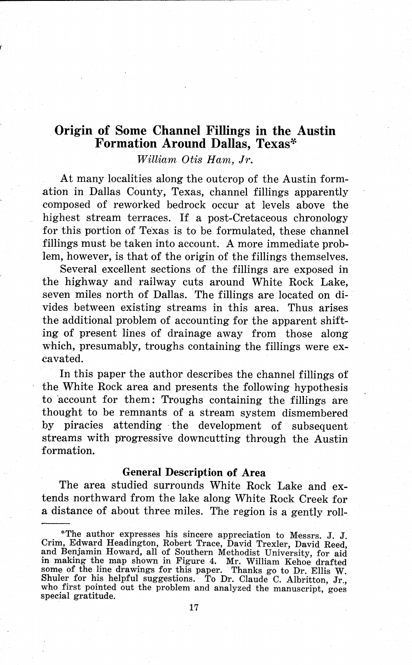# **Origin of Some Channel Fillings in the Austin Formation Around Dallas, Texas~**

*William Otis Ham, Jr.* 

At many localities along the outcrop of the Austin formation in Dallas County, Texas, channel fillings apparently composed of reworked bedrock occur at levels above the highest stream terraces. If a post-Cretaceous chronology for this portion of Texas is to be formulated, these channel fillings must be taken into account. A more immediate problem, however, is that of the origin of the fillings themselves.

Several excellent sections of the fillings are exposed in the highway and railway cuts around White Rock Lake, seven miles north of Dallas. The fillings are located on divides between existing streams in this area. Thus arises the additional problem of accounting for the apparent shifting of present lines of drainage away from those along which, presumably, troughs containing the fillings were excavated.

In this paper the author describes the channel fillings of the White Rock area and presents the following hypothesis to account for them: Troughs containing the fillings are thought to be remnants of a stream system dismembered by piracies attending the development of subsequent streams with progressive downcutting through the Austin formation.

## **General Description of Area**

The area studied surrounds White Rock Lake and extends northward from the lake along White Rock Creek for a distance of about three miles. The region is a gently roll-

<sup>\*</sup>The author expresses his sincere appreciation to Messrs. J. J. Crim, Edward Headington, Robert Trace, David Trexler, David Reed, and Benjamin Howard, all of Southern Methodist University, for aid in making the map shown in Figure 4. Mr. William Kehoe drafted some of the line drawings for this paper. Thanks go to Dr. Ellis W. Shuler for his helpful suggestions. To Dr. Claude C. Albritton, Jr., who first pointed out the problem and analyzed the manuscript, goes special gratitude.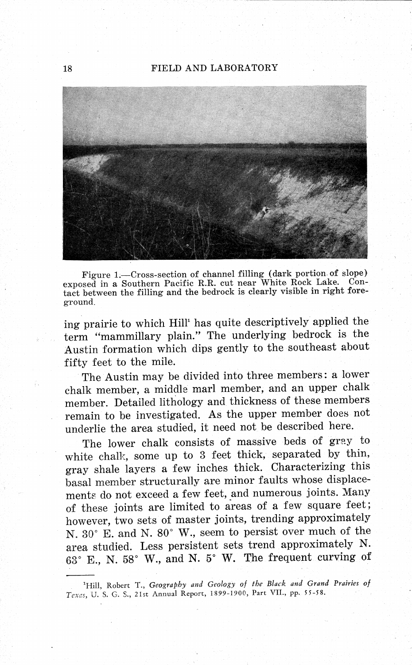

Figure 1.-Cross-section of channel filling (dark portion of slope) exposed in a Southern Pacific R.R. cut near White Rock Lake. Contact between the filling and the bedrock is clearly visible in right foreground.

ing prairie to which Hill<sup>1</sup> has quite descriptively applied the term "mammillary plain." The underlying bedrock is the Austin formation which dips gently to the southeast about fifty feet to the mile.

The Austin may be divided into three members: a lower chalk member, a middle marl member, and an upper chalk member. Detailed lithology and thickness of these members remain to be investigated. As the upper member does not underlie the area studied, it need not be described here.

The lower chalk consists of massive beds of gray to white chalk, some up to 3 feet thick, separated by thin, gray shale layers a few inches thick. Characterizing this basal member structurally are minor faults whose displacements do not exceed a few feet, and numerous joints. Many of these joints are limited to areas of a few square feet; however, two sets of master joints, trending approximately N. 30° E. and N. 80° W., seem to persist over much of the area studied. Less persistent sets trend approximately N. 63° E., N. 58° W., and N. 5° W. The frequent curving of

<sup>&</sup>lt;sup>1</sup>Hill, Robert T., *Geography and Geology of the Black and Grand Prairies of* Texes, U. S. G. S., 21st Annual Report, 1899-1900, Part VII., pp. 55-58.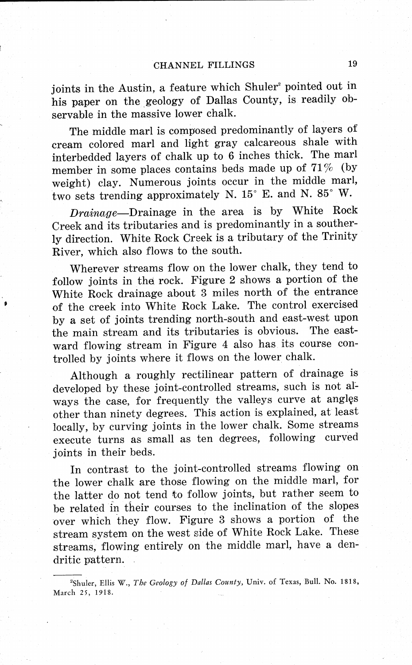joints in the Austin, a feature which Shuler<sup>2</sup> pointed out in his paper on the geology of Dallas County, is readily observable in the massive lower chalk.

The middle marl is composed predominantly of layers of cream colored marl and light gray calcareous shale with interbedded layers of chalk up to 6 inches thick. The marl member in some places contains beds made up of  $71\%$  (by weight) clay. Numerous joints occur in the middle marl, two sets trending approximately N. 15° E. and N. 85° W.

*Drainage-Drainage* in the area is by White Rock Creek and its tributaries and is predominantly in a southerly direction. White Rock Creek is a tributary of the Trinity River, which also flows to the south.

Wherever streams flow on the lower chalk, they tend to follow joints in the rock. Figure 2 shows a portion of the White Rock drainage about 3 miles north of the entrance of the creek into White Rock Lake. The control exercised by a set of joints trending north-south and east-west upon the main stream and its tributaries is obvious. The eastward flowing stream in Figure 4 also has its course controlled by joints where it flows on the lower chalk.

Although a roughly rectilinear pattern of drainage is developed by these joint-controlled streams, such is not always the case, for frequently the valleys curve at angles other than ninety degrees. This action is explained, at least locally, by curving joints in the lower chalk. Some streams execute turns as small as ten degrees, following curved joints in their beds.

In contrast to the joint-controlled streams flowing on the lower chalk are those flowing on the middle marl, for the latter do not tend to follow joints, but rather seem to be related in their courses to the inclination of the slopes over which they flow. Figure 3 shows a portion of the stream system on the west side of White Rock Lake. These streams, flowing entirely on the middle marl, have a dendritic pattern.

<sup>2</sup>Shuler, Ellis W., *The Geology of Dallas County,* Univ. of Texas, Bull. No. 1818, March 25, 1918.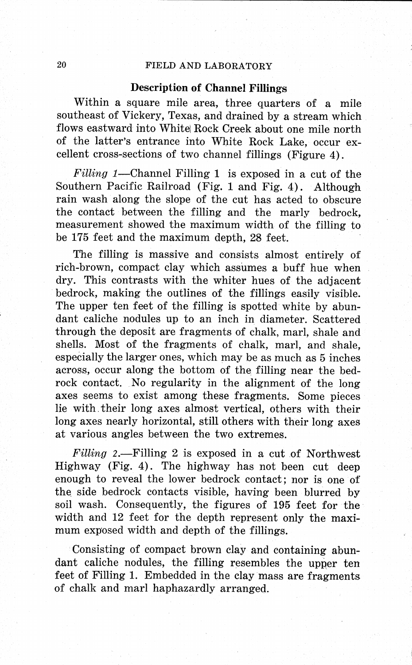#### **Description of Channel Fillings**

Within a square mile area, three quarters of a mile southeast of Vickery, Texas, and drained by a stream which flows eastward into White Rock Creek about one mile north of the latter's entrance into White Rock Lake, occur excellent cross-sections of two channel fillings (Figure 4).

Filling 1-Channel Filling 1 is exposed in a cut of the Southern Pacific Railroad (Fig. 1 and Fig. 4). Although rain wash along the slope of the cut has acted to obscure the contact between the filling and the marly bedrock, measurement showed the maximum width of the filling to be 175 feet and the maximum depth, 28 feet.

The filling is massive and consists almost entirely of rich-brown, compact clay which assumes a buff hue when dry. This contrasts with the whiter hues of the adjacent bedrock, making the outlines of the fillings easily visible. The upper ten feet of the filling is spotted white by abundant caliche nodules up to an inch in diameter. Scattered through the deposit are fragments of chalk, marl, shale and shells. Most of the fragments of chalk, marl, and shale, especially the larger ones, which may be as much as 5 inches across, occur along the bottom of the filling near the bedrock contact. No regularity in the alignment of the long axes seems to exist among these fragments. Some pieces lie with. their long axes almost vertical, others with their long axes nearly horizontal, still others with their long axes at various angles between the two extremes.

 $Filling$  2.—Filling 2 is exposed in a cut of Northwest Highway (Fig. 4). The highway has not been cut deep enough to reveal the lower bedrock contact; nor is one of the side bedrock contacts visible, having been blurred by soil wash. Consequently, the figures of 195 feet for the width and 12 feet for the depth represent only the maximum exposed width and depth of the fillings.

Consisting of compact brown clay and containing abundant caliche nodules, the filling resembles the upper ten feet of Filling 1. Embedded in the clay mass are fragments of chalk and marl haphazardly arranged.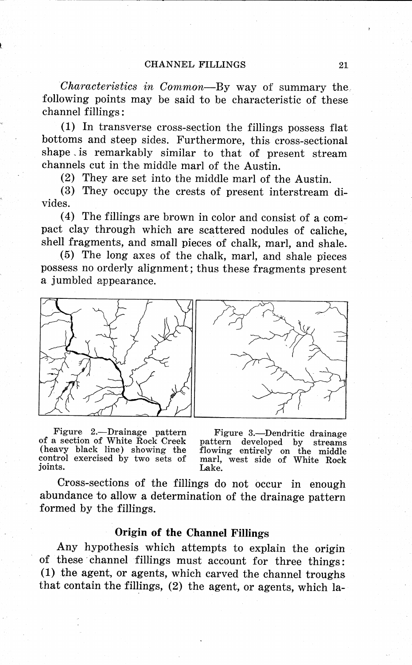*Characteristics in Common-By* way of summary the following points may be said to be characteristic of these channel fillings:

 $(1)$  In transverse cross-section the fillings possess flat bottoms and steep sides. Furthermore, this cross-sectional shape . is remarkably similar to that of present stream channels cut in the middle marl of the Austin.

(2) They are set into the middle marl of the Austin.

(3) They occupy the crests of present interstream divides.

(4) The fillings are brown in color and consist of a compact clay through which are scattered nodules of caliche, shell fragments, and small pieces of chalk, marl, and shale.

( 5) The long axes of the chalk, marl, and shale pieces possess no orderly alignment; thus these fragments present a jumbled appearance.



Figure 2.-Drainage pattern of a section of White Rock Creek (heavy black line) showing the control exercised by two sets of joints.

Figure 3.—Dendritic drainage<br>pattern developed by streams flowing entirely on the middle marl, west side of White Rock Lake.

Cross-sections of the fillings do not occur in enough abundance to allow a determination of the drainage pattern formed by the fillings.

#### **Origin of the Channel Fillings**

Any hypothesis which attempts to explain the origin of these channel fillings must account for three things: (1) the agent, or agents, which carved the channel troughs that contain the fillings, (2) the agent, or agents, which la-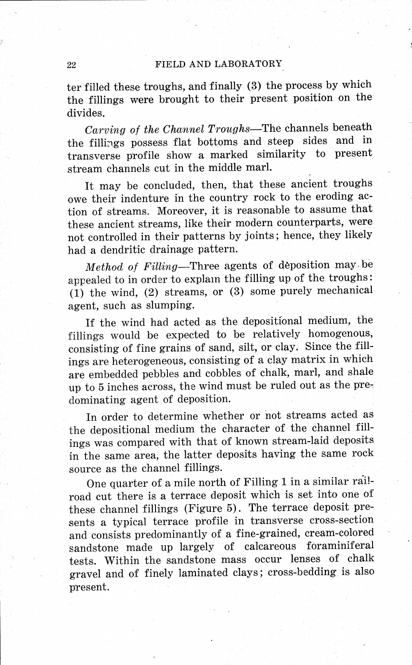ter filled these troughs, and finally (3) the process by which the fillings were brought to their present position on the divides.

*Carving of the Channel Troughs-The* channels beneath the fillings possess flat bottoms and steep sides and in transverse profile show a marked similarity to present stream channels cut in the middle marl.

It may be concluded, then, that these ancient troughs owe their indenture in the country rock to the eroding action of streams. Moreover, it is reasonable to assume that these ancient streams, like their modern counterparts, were not controlled in their patterns by joints; hence, they likely had a dendritic drainage pattern.

*Method of Filling-Three* agents of deposition may. be appealed to in order to explam the filling up of the troughs: (1) the wind, (2) streams, or (3) some purely mechanical agent, such as slumping.

If the wind had acted as the depositional medium, the fillings would be expected to be relatively homogenous, consisting of fine grains of sand, silt, or clay. Since the fillings are heterogeneous, consisting of a clay matrix in which are embedded pebbles and cobbles of chalk, marl, and shale up to 5 inches across, the wind must be ruled out as the predominating agent of deposition.

In order to determine whether or not streams acted as the depositional medium the character of the channel fillings was compared with that of known stream-laid deposits in the same area, the latter deposits having the same rock source as the channel fillings.

One quarter of a mile north of Filling 1 in a similar railroad cut there is a terrace deposit which is set into one of these channel fillings (Figure 5). The terrace deposit presents a typical terrace profile in transverse cross-section and consists predominantly of a fine-grained, cream-colored sandstone made up largely of calcareous foraminiferal tests. Within the sandstone mass occur lenses of chalk gravel and of finely laminated clays; cross-bedding is also present.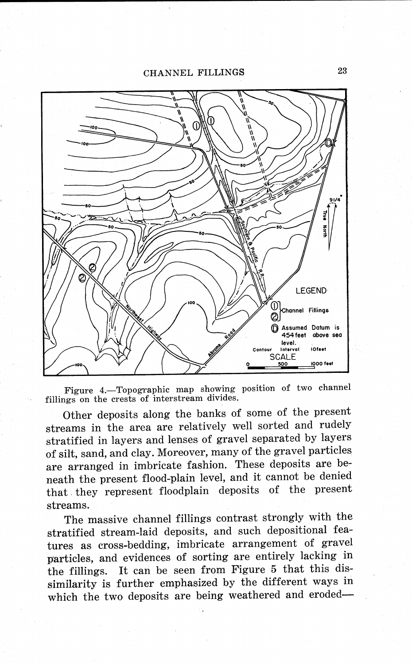CHANNEL FILLINGS





Other deposits along the banks of some of the present streams in the area are relatively well sorted and rudely stratified in layers and lenses of gravel separated by layers of silt, sand, and clay. Moreover, many of the gravel particles are arranged in imbricate fashion. These deposits are beneath the present flood-plain level, and it cannot be denied that. they represent floodplain deposits of the present streams.

The massive channel fillings contrast strongly with the stratified stream-laid deposits, and such depositional features as cross-bedding, imbricate arrangement of gravel particles, and evidences of sorting are entirely lacking in the fillings. It can be seen from Figure 5 that this dissimilarity is further emphasized by the different ways in which the two deposits are being weathered and eroded-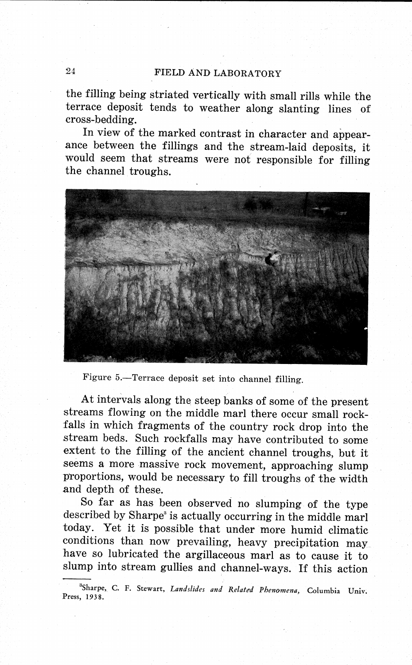the filling being striated vertically with small rills while the terrace deposit tends to weather along slanting lines of cross-bedding.

In view of the marked contrast in character and appearance between the fillings and the stream-laid deposits, it would seem that streams were not responsible for filling the channel troughs.



Figure 5.-Terrace deposit set into channel filling.

At intervals along the steep banks of some of the present streams flowing on the middle marl there occur small rockfalls in which fragments of the country rock drop into the stream beds. Such rockfalls may have contributed to some extent to the filling of the ancient channel troughs, but it seems a more massive rock movement, approaching slump <sup>p</sup>'roportions, would be necessary to fill troughs of the width and depth of these.

So far as has been observed no slumping of the type described by Sharpe<sup>®</sup> is actually occurring in the middle marl today. Yet it is possible that under more humid climatic conditions than now prevailing, heavy precipitation may have so lubricated the argillaceous marl as to cause it to slump into stream gullies and channel-ways. If this action

<sup>&</sup>quot;Sharpe,., C. F. Stewart, *Landslides and Related Phenmnena,* Columbia Univ. Press, 1938.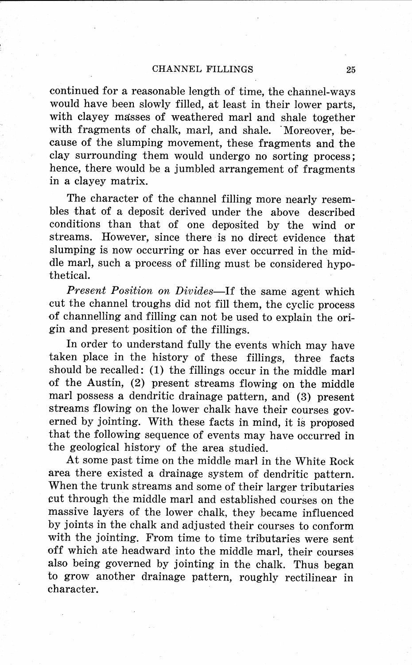continued for a reasonable length of time, the channel-ways would have been slowly filled, at least in their lower parts, with clayey masses of weathered marl and shale together with fragments of chalk, marl, and shale. Moreover, because of the slumping movement, these fragments and the clay surrounding them would undergo no sorting process ; hence, there would be a jumbled arrangement of fragments in a clayey matrix.

The character of the channel filling more nearly resembles that of a deposit derived under the above described conditions than that of one deposited by the wind or streams. However, since there is no direct evidence that slumping is now occurring or has ever occurred in the middle marl, such a process of filling must be considered hypothetical.

*Present Position on Divides-If* the same agent which cut the channel troughs did not fill them, the cyclic process of channelling and filling can not be used to explain the ori<sup>g</sup>in and present position of the fillings.

In order to understand fully the events which may have taken place in the history of these fillings, three facts should be recalled: (1) the fillings occur in the middle marl of the Austin, (2) present streams flowing on the middle marl possess a dendritic drainage pattern, and (3) present streams flowing on the lower chalk have their courses governed by jointing. With these facts in mind, it is proposed that the following sequence of events may have occurred in the geological history of the area studied.

At some past time on the middle marl in the White Rock area there existed a drainage system of dendritic pattern. When the trunk streams and some of their larger tributaries cut through the middle marl and established courses on the massive layers of the lower chalk, they became influenced by joints in the chalk and adjusted their courses to conform with the jointing. From time to time tributaries were sent off which ate headward into the middle marl, their courses also being governed by jointing in the chalk. Thus began to grow another drainage pattern, roughly rectilinear in character.